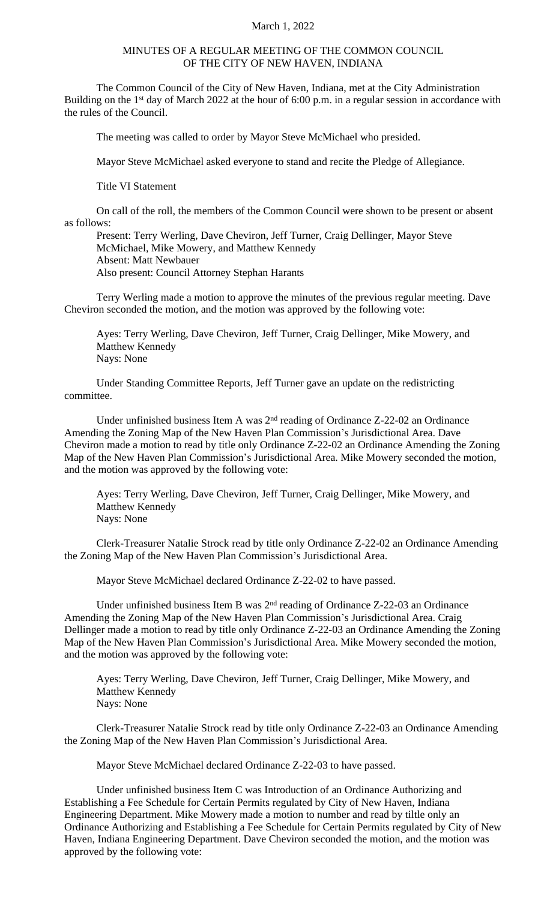## March 1, 2022

## MINUTES OF A REGULAR MEETING OF THE COMMON COUNCIL OF THE CITY OF NEW HAVEN, INDIANA

The Common Council of the City of New Haven, Indiana, met at the City Administration Building on the 1<sup>st</sup> day of March 2022 at the hour of 6:00 p.m. in a regular session in accordance with the rules of the Council.

The meeting was called to order by Mayor Steve McMichael who presided.

Mayor Steve McMichael asked everyone to stand and recite the Pledge of Allegiance.

Title VI Statement

On call of the roll, the members of the Common Council were shown to be present or absent as follows:

Present: Terry Werling, Dave Cheviron, Jeff Turner, Craig Dellinger, Mayor Steve McMichael, Mike Mowery, and Matthew Kennedy Absent: Matt Newbauer Also present: Council Attorney Stephan Harants

Terry Werling made a motion to approve the minutes of the previous regular meeting. Dave Cheviron seconded the motion, and the motion was approved by the following vote:

Ayes: Terry Werling, Dave Cheviron, Jeff Turner, Craig Dellinger, Mike Mowery, and Matthew Kennedy Nays: None

Under Standing Committee Reports, Jeff Turner gave an update on the redistricting committee.

Under unfinished business Item A was 2<sup>nd</sup> reading of Ordinance Z-22-02 an Ordinance Amending the Zoning Map of the New Haven Plan Commission's Jurisdictional Area. Dave Cheviron made a motion to read by title only Ordinance Z-22-02 an Ordinance Amending the Zoning Map of the New Haven Plan Commission's Jurisdictional Area. Mike Mowery seconded the motion, and the motion was approved by the following vote:

Ayes: Terry Werling, Dave Cheviron, Jeff Turner, Craig Dellinger, Mike Mowery, and Matthew Kennedy Nays: None

Clerk-Treasurer Natalie Strock read by title only Ordinance Z-22-02 an Ordinance Amending the Zoning Map of the New Haven Plan Commission's Jurisdictional Area.

Mayor Steve McMichael declared Ordinance Z-22-02 to have passed.

Under unfinished business Item B was  $2<sup>nd</sup>$  reading of Ordinance Z-22-03 an Ordinance Amending the Zoning Map of the New Haven Plan Commission's Jurisdictional Area. Craig Dellinger made a motion to read by title only Ordinance Z-22-03 an Ordinance Amending the Zoning Map of the New Haven Plan Commission's Jurisdictional Area. Mike Mowery seconded the motion, and the motion was approved by the following vote:

Ayes: Terry Werling, Dave Cheviron, Jeff Turner, Craig Dellinger, Mike Mowery, and Matthew Kennedy Nays: None

Clerk-Treasurer Natalie Strock read by title only Ordinance Z-22-03 an Ordinance Amending the Zoning Map of the New Haven Plan Commission's Jurisdictional Area.

Mayor Steve McMichael declared Ordinance Z-22-03 to have passed.

Under unfinished business Item C was Introduction of an Ordinance Authorizing and Establishing a Fee Schedule for Certain Permits regulated by City of New Haven, Indiana Engineering Department. Mike Mowery made a motion to number and read by tiltle only an Ordinance Authorizing and Establishing a Fee Schedule for Certain Permits regulated by City of New Haven, Indiana Engineering Department. Dave Cheviron seconded the motion, and the motion was approved by the following vote: